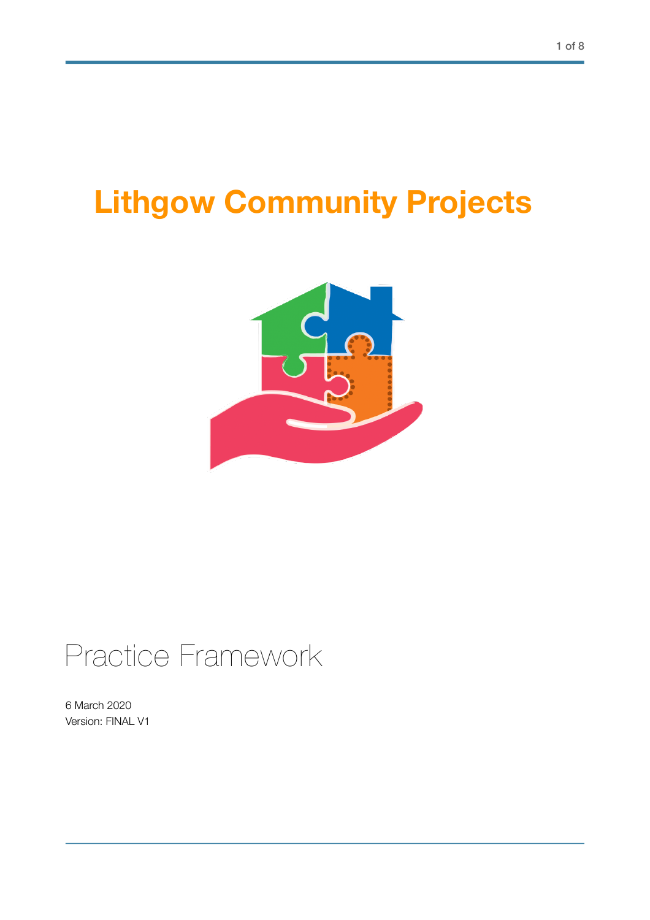# **Lithgow Community Projects**



# Practice Framework

6 March 2020 Version: FINAL V1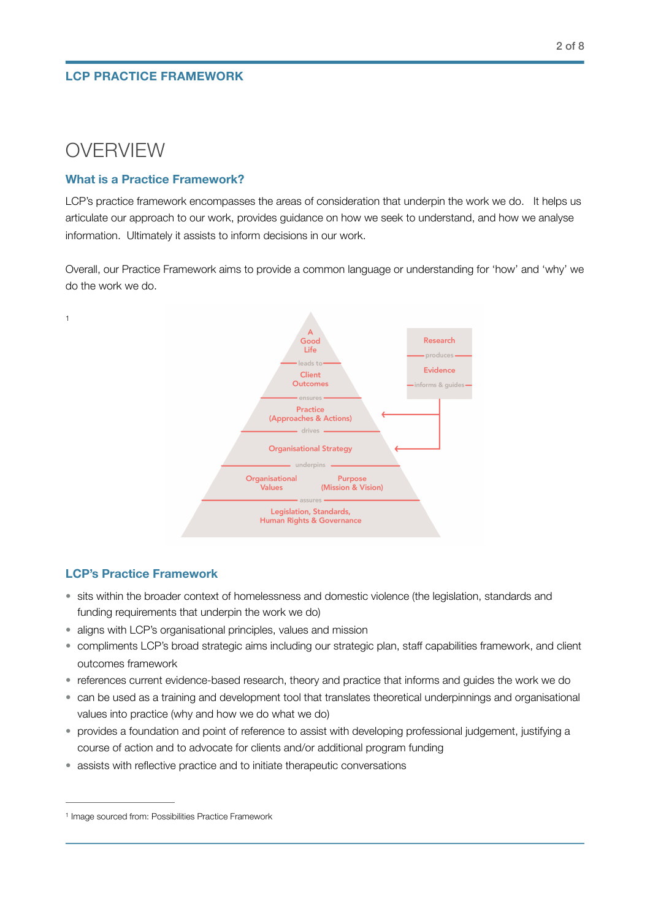# OVERVIEW

<span id="page-1-1"></span>[1](#page-1-0)

## **What is a Practice Framework?**

LCP's practice framework encompasses the areas of consideration that underpin the work we do. It helps us articulate our approach to our work, provides guidance on how we seek to understand, and how we analyse information. Ultimately it assists to inform decisions in our work.

Overall, our Practice Framework aims to provide a common language or understanding for 'how' and 'why' we do the work we do.



# **LCP's Practice Framework**

- sits within the broader context of homelessness and domestic violence (the legislation, standards and funding requirements that underpin the work we do)
- aligns with LCP's organisational principles, values and mission
- compliments LCP's broad strategic aims including our strategic plan, staff capabilities framework, and client outcomes framework
- references current evidence-based research, theory and practice that informs and guides the work we do
- can be used as a training and development tool that translates theoretical underpinnings and organisational values into practice (why and how we do what we do)
- provides a foundation and point of reference to assist with developing professional judgement, justifying a course of action and to advocate for clients and/or additional program funding
- assists with reflective practice and to initiate therapeutic conversations

<span id="page-1-0"></span><sup>&</sup>lt;sup>1</sup> Image sourced from: Possibilities Practice Framework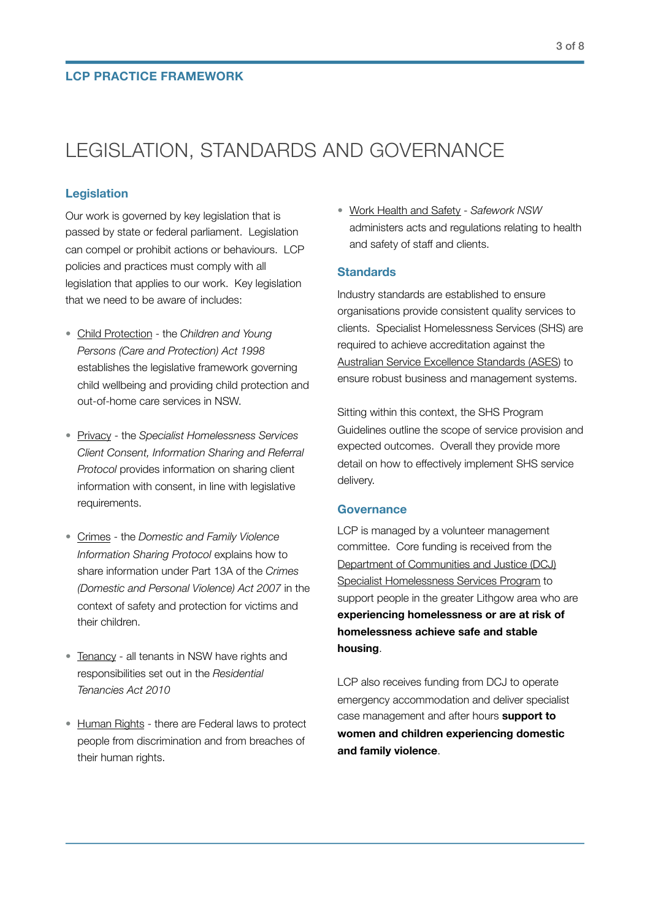# LEGISLATION, STANDARDS AND GOVERNANCE

#### **Legislation**

Our work is governed by key legislation that is passed by state or federal parliament. Legislation can compel or prohibit actions or behaviours. LCP policies and practices must comply with all legislation that applies to our work. Key legislation that we need to be aware of includes:

- [Child Protection](https://www.facs.nsw.gov.au/providers/children-families/interagency-guidelines/legislation) the *Children and Young Persons (Care and Protection) Act 1998* establishes the legislative framework governing child wellbeing and providing child protection and out-of-home care services in NSW.
- [Privacy](https://www.housing.nsw.gov.au/__data/assets/file/0003/381639/SHS-ClientConsent-Protocol.pdf) the *Specialist Homelessness Services Client Consent, Information Sharing and Referral Protocol* provides information on sharing client information with consent, in line with legislative requirements.
- [Crimes](http://www.crimeprevention.nsw.gov.au/domesticviolence/Documents/It%20stop/DV-info-Sharing-Protocol.pdf) the *Domestic and Family Violence Information Sharing Protocol* explains how to share information under Part 13A of the *Crimes (Domestic and Personal Violence) Act 2007* in the context of safety and protection for victims and their children.
- [Tenancy](https://www.tenants.org.au/factsheet-01-residential-tenancies-act) all tenants in NSW have rights and responsibilities set out in the *Residential Tenancies Act 2010*
- [Human Rights](https://www.humanrights.gov.au/our-work/legal/legislation) there are Federal laws to protect people from discrimination and from breaches of their human rights.

• [Work Health and Safety](https://www.nsw.gov.au) - *Safework NSW* administers acts and regulations relating to health and safety of staff and clients.

### **Standards**

Industry standards are established to ensure organisations provide consistent quality services to clients. Specialist Homelessness Services (SHS) are required to achieve accreditation against the [Australian Service Excellence Standards \(ASES\)](https://www.facs.nsw.gov.au/providers/homelessness-services/ASES-accreditation-for-providers) to ensure robust business and management systems.

Sitting within this context, the SHS Program Guidelines outline the scope of service provision and expected outcomes. Overall they provide more detail on how to effectively implement SHS service delivery.

#### **Governance**

LCP is managed by a volunteer management committee. Core funding is received from the [Department of Communities and Justice \(DCJ\)](https://www.facs.nsw.gov.au/providers/funded/programs/homelessness/specialist-services)  [Specialist Homelessness Services Program](https://www.facs.nsw.gov.au/providers/funded/programs/homelessness/specialist-services) to support people in the greater Lithgow area who are **experiencing homelessness or are at risk of homelessness achieve safe and stable housing**.

LCP also receives funding from DCJ to operate emergency accommodation and deliver specialist case management and after hours **support to women and children experiencing domestic and family violence**.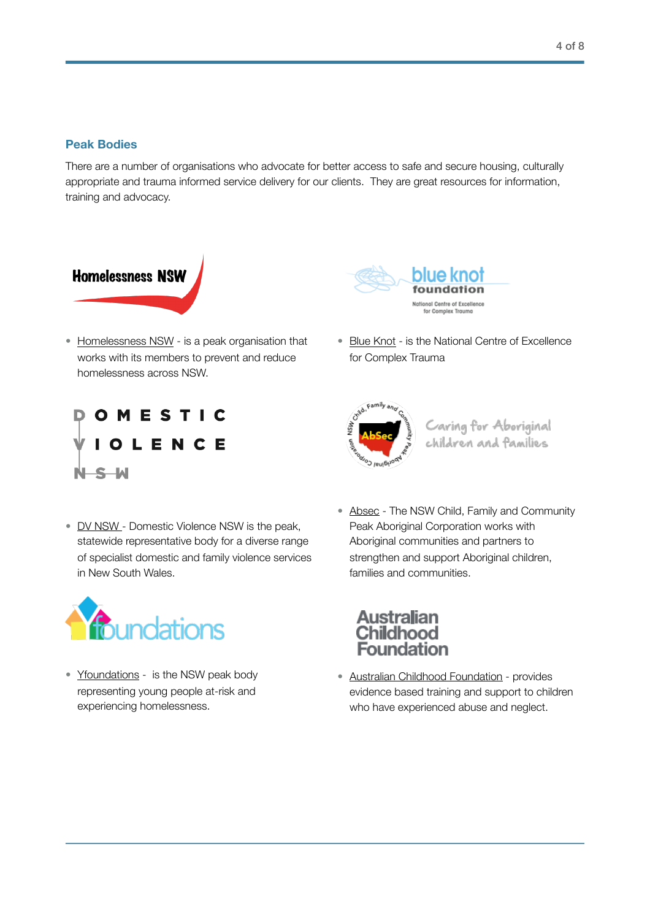## **Peak Bodies**

There are a number of organisations who advocate for better access to safe and secure housing, culturally appropriate and trauma informed service delivery for our clients. They are great resources for information, training and advocacy.



• [Homelessness NSW](https://www.homelessnessnsw.org.au) - is a peak organisation that works with its members to prevent and reduce homelessness across NSW.



• [Blue Knot](https://www.blueknot.org.au) - is the National Centre of Excellence for Complex Trauma





Caring for Aboriginal<br>children and families

• [DV NSW -](https://www.dvnsw.org.au) Domestic Violence NSW is the peak, statewide representative body for a diverse range of specialist domestic and family violence services in New South Wales.



• [Yfoundations](http://yfoundations.org.au) - is the NSW peak body representing young people at-risk and experiencing homelessness.

• [Absec](https://www.absec.org.au/index.html) - The NSW Child, Family and Community Peak Aboriginal Corporation works with Aboriginal communities and partners to strengthen and support Aboriginal children, families and communities.



• [Australian Childhood Foundation](https://www.childhood.org.au) - provides evidence based training and support to children who have experienced abuse and neglect.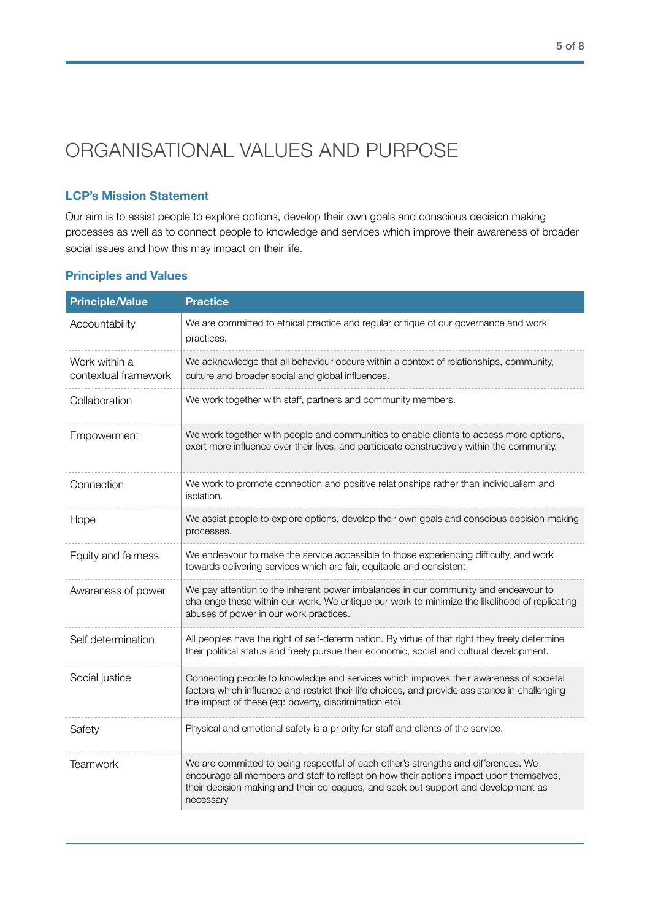# ORGANISATIONAL VALUES AND PURPOSE

# **LCP's Mission Statement**

Our aim is to assist people to explore options, develop their own goals and conscious decision making processes as well as to connect people to knowledge and services which improve their awareness of broader social issues and how this may impact on their life.

| <b>Principle/Value</b>                | <b>Practice</b>                                                                                                                                                                                                                                                                   |
|---------------------------------------|-----------------------------------------------------------------------------------------------------------------------------------------------------------------------------------------------------------------------------------------------------------------------------------|
| Accountability                        | We are committed to ethical practice and regular critique of our governance and work<br>practices.                                                                                                                                                                                |
| Work within a<br>contextual framework | We acknowledge that all behaviour occurs within a context of relationships, community,<br>culture and broader social and global influences.                                                                                                                                       |
| Collaboration                         | We work together with staff, partners and community members.                                                                                                                                                                                                                      |
| Empowerment                           | We work together with people and communities to enable clients to access more options,<br>exert more influence over their lives, and participate constructively within the community.                                                                                             |
| Connection                            | We work to promote connection and positive relationships rather than individualism and<br>isolation.                                                                                                                                                                              |
| Hope                                  | We assist people to explore options, develop their own goals and conscious decision-making<br>processes.                                                                                                                                                                          |
| Equity and fairness                   | We endeavour to make the service accessible to those experiencing difficulty, and work<br>towards delivering services which are fair, equitable and consistent.                                                                                                                   |
| Awareness of power                    | We pay attention to the inherent power imbalances in our community and endeavour to<br>challenge these within our work. We critique our work to minimize the likelihood of replicating<br>abuses of power in our work practices.                                                  |
| Self determination                    | All peoples have the right of self-determination. By virtue of that right they freely determine<br>their political status and freely pursue their economic, social and cultural development.                                                                                      |
| Social justice                        | Connecting people to knowledge and services which improves their awareness of societal<br>factors which influence and restrict their life choices, and provide assistance in challenging<br>the impact of these (eg: poverty, discrimination etc).                                |
| Safety                                | Physical and emotional safety is a priority for staff and clients of the service.                                                                                                                                                                                                 |
| <b>Teamwork</b>                       | We are committed to being respectful of each other's strengths and differences. We<br>encourage all members and staff to reflect on how their actions impact upon themselves,<br>their decision making and their colleagues, and seek out support and development as<br>necessary |

### **Principles and Values**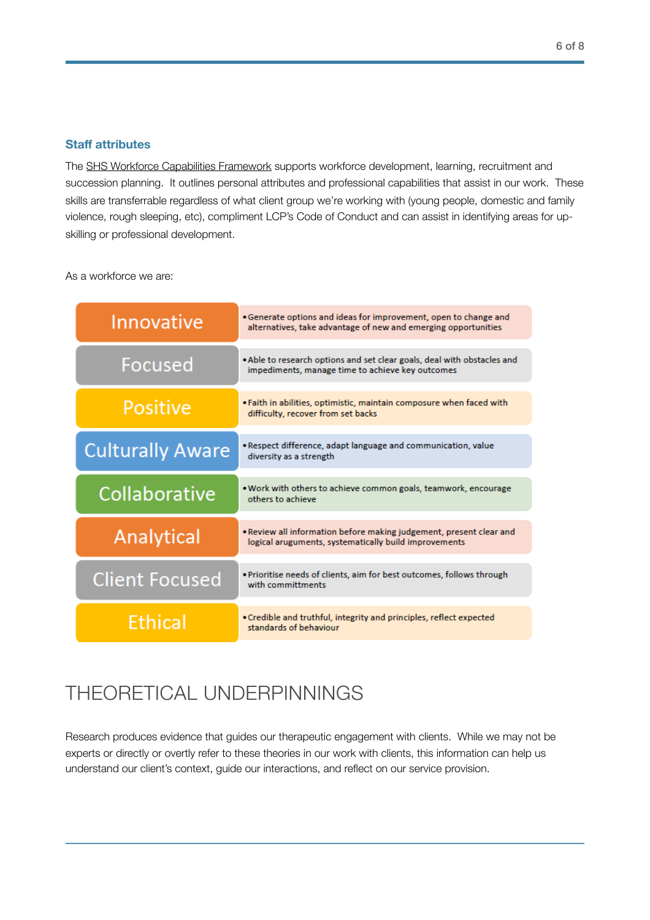### **Staff attributes**

The [SHS Workforce Capabilities Framework](https://www.homelessnessnsw.org.au/workforce-capability-framework) supports workforce development, learning, recruitment and succession planning. It outlines personal attributes and professional capabilities that assist in our work. These skills are transferrable regardless of what client group we're working with (young people, domestic and family violence, rough sleeping, etc), compliment LCP's Code of Conduct and can assist in identifying areas for upskilling or professional development.

As a workforce we are:

| Innovative              | • Generate options and ideas for improvement, open to change and<br>alternatives, take advantage of new and emerging opportunities |
|-------------------------|------------------------------------------------------------------------------------------------------------------------------------|
| Focused                 | . Able to research options and set clear goals, deal with obstacles and<br>impediments, manage time to achieve key outcomes        |
| <b>Positive</b>         | . Faith in abilities, optimistic, maintain composure when faced with<br>difficulty, recover from set backs                         |
| <b>Culturally Aware</b> | . Respect difference, adapt language and communication, value<br>diversity as a strength                                           |
| Collaborative           | . Work with others to achieve common goals, teamwork, encourage<br>others to achieve                                               |
| <b>Analytical</b>       | • Review all information before making judgement, present clear and<br>logical aruguments, systematically build improvements       |
| <b>Client Focused</b>   | . Prioritise needs of clients, aim for best outcomes, follows through<br>with committments                                         |
| <b>Ethical</b>          | • Credible and truthful, integrity and principles, reflect expected<br>standards of behaviour                                      |

# THEORETICAL UNDERPINNINGS

Research produces evidence that guides our therapeutic engagement with clients. While we may not be experts or directly or overtly refer to these theories in our work with clients, this information can help us understand our client's context, guide our interactions, and reflect on our service provision.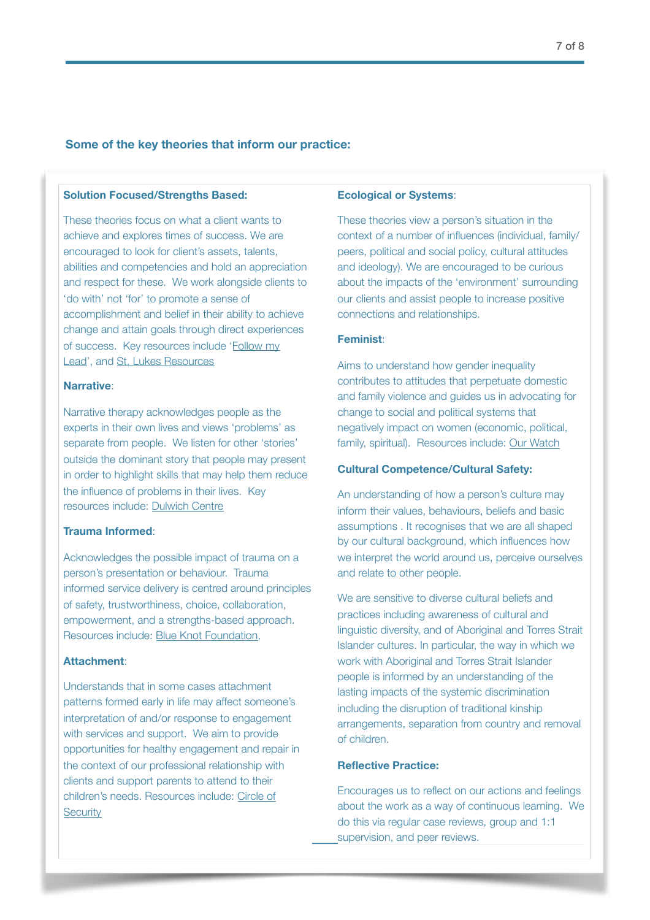### **Some of the key theories that inform our practice:**

#### **Solution Focused/Strengths Based:**

These theories focus on what a client wants to achieve and explores times of success. We are encouraged to look for client's assets, talents, abilities and competencies and hold an appreciation and respect for these. We work alongside clients to 'do with' not 'for' to promote a sense of accomplishment and belief in their ability to achieve change and attain goals through direct experiences of success. Key resources include '[Follow my](https://www.insightexchange.net/follow-my-lead/)  [Lead'](https://www.insightexchange.net/follow-my-lead/), and [St. Lukes Resources](https://innovativeresources.org/what-is-the-strengths-approach/)

#### **Na[rrative](https://www.insightexchange.net/follow-my-lead/)**:

Narrative therapy acknowledges people as the experts in their own lives and views 'problems' as separate from people. We listen for other 'stories' outside the dominant story that people may present in order to highlight skills that may help them reduce the influence of problems in their lives. Key resources include: [Dulwich Centre](https://dulwichcentre.com.au/what-is-narrative-therapy/)

#### **Trauma Informed**:

Acknowledges the possible impact of trauma on a person's presentation or behaviour. Trauma informed service delivery is centred around principles of safety, trustworthiness, choice, collaboration, empowerment, and a strengths-based approach. Resources include: [Blue Knot Foundation,](https://www.blueknot.org.au/Resources/Fact-Sheets/Workers-Fact-Sheet) 

#### **Attachment**:

Understands that in some cases attachment patterns formed early in life may affect someone's interpretation of and/or response to engagement with services and support. We aim to provide opportunities for healthy engagement and repair in the context of our professional relationship with clients and support parents to attend to their children's needs. Resources include: [Circle of](https://www.circleofsecurityinternational.com/circle-of-security-model/what-is-the-circle-of-security/)  **[Security](https://www.circleofsecurityinternational.com/circle-of-security-model/what-is-the-circle-of-security/)** 

#### **Ecological or Systems**:

These theories view a person's situation in the context of a number of influences (individual, family/ peers, political and social policy, cultural attitudes and ideology). We are encouraged to be curious about the impacts of the 'environment' surrounding our clients and assist people to increase positive connections and relationships.

#### **Feminist**:

Aims to understand how gender inequality contributes to attitudes that perpetuate domestic and family violence and guides us in advocating for change to social and political systems that negatively impact on women (economic, political, family, spiritual). Resources include: [Our Watch](https://www.ourwatch.org.au)

#### **Cultural Competence/Cultural Safet[y:](https://www.ourwatch.org.au)**

An understanding of how a person's culture may inform their values, behaviours, beliefs and basic assumptions . It recognises that we are all shaped by our cultural background, which influences how we interpret the world around us, perceive ourselves and relate to other people.

We are sensitive to diverse cultural beliefs and practices including awareness of cultural and linguistic diversity, and of Aboriginal and Torres Strait Islander cultures. In particular, the way in which we work with Aboriginal and Torres Strait Islander people is informed by an understanding of the lasting impacts of the systemic discrimination including the disruption of traditional kinship arrangements, separation from country and removal of children.

### **Reflective Practice:**

Encourages us to reflect on our actions and feelings about the work as a way of continuous learning. We do this via regular case reviews, group and 1:1 supervision, and peer reviews.